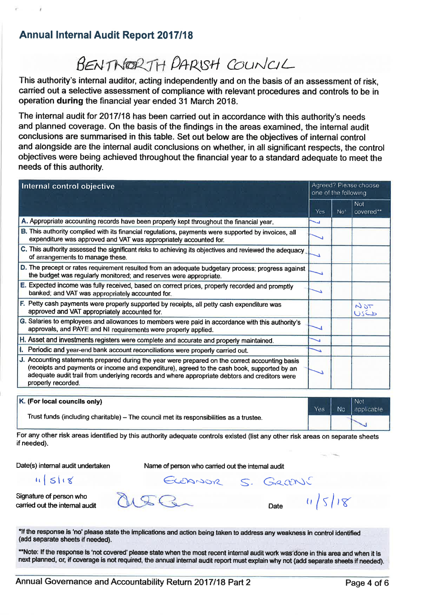## **Annual Internal Audit Report 2017/18**

# BENTHORTH PARISH COUNCIL

This authority's internal auditor, acting independently and on the basis of an assessment of risk, carried out a selective assessment of compliance with relevant procedures and controls to be in operation during the financial year ended 31 March 2018.

The internal audit for 2017/18 has been carried out in accordance with this authority's needs and planned coverage. On the basis of the findings in the areas examined, the internal audit conclusions are summarised in this table. Set out below are the objectives of internal control and alongside are the internal audit conclusions on whether, in all significant respects, the control objectives were being achieved throughout the financial year to a standard adequate to meet the needs of this authority.

| Internal control objective                                                                                                                                                                                                                                                                                            |            | Agreed? Please choose<br>one of the following |                         |  |
|-----------------------------------------------------------------------------------------------------------------------------------------------------------------------------------------------------------------------------------------------------------------------------------------------------------------------|------------|-----------------------------------------------|-------------------------|--|
|                                                                                                                                                                                                                                                                                                                       | <b>Yes</b> | No <sup>x</sup>                               | <b>Not</b><br>covered** |  |
| A. Appropriate accounting records have been properly kept throughout the financial year.                                                                                                                                                                                                                              |            |                                               |                         |  |
| B. This authority complied with its financial regulations, payments were supported by invoices, all<br>expenditure was approved and VAT was appropriately accounted for.                                                                                                                                              |            |                                               |                         |  |
| C. This authority assessed the significant risks to achieving its objectives and reviewed the adequacy<br>of arrangements to manage these.                                                                                                                                                                            |            |                                               |                         |  |
| D. The precept or rates requirement resulted from an adequate budgetary process; progress against<br>the budget was regularly monitored; and reserves were appropriate.                                                                                                                                               |            |                                               |                         |  |
| E. Expected income was fully received, based on correct prices, properly recorded and promptly<br>banked; and VAT was appropriately accounted for.                                                                                                                                                                    |            |                                               |                         |  |
| F. Petty cash payments were properly supported by receipts, all petty cash expenditure was<br>approved and VAT appropriately accounted for.                                                                                                                                                                           |            |                                               | 70M<br>$U$ $S$ $E$      |  |
| G. Salaries to employees and allowances to members were paid in accordance with this authority's<br>approvals, and PAYE and NI requirements were properly applied.                                                                                                                                                    |            |                                               |                         |  |
| H. Asset and investments registers were complete and accurate and properly maintained.                                                                                                                                                                                                                                |            |                                               |                         |  |
| I. Periodic and year-end bank account reconciliations were properly carried out.                                                                                                                                                                                                                                      |            |                                               |                         |  |
| J. Accounting statements prepared during the year were prepared on the correct accounting basis<br>(receipts and payments or income and expenditure), agreed to the cash book, supported by an<br>adequate audit trail from underlying records and where appropriate debtors and creditors were<br>properly recorded. |            |                                               |                         |  |

| K. (For local councils only)                                                            | Yes | No | <b>No!</b> |
|-----------------------------------------------------------------------------------------|-----|----|------------|
| Trust funds (including charitable) - The council met its responsibilities as a trustee. |     |    | applicable |
|                                                                                         |     |    |            |

For any other risk areas identified by this authority adequate controls existed (list any other risk areas on separate sheets if needed).

Date(s) internal audit undertaken

Name of person who carried out the internal audit

 $11518$ 

BANOR S. GRANI

Signature of person who carried out the internal audit

\*If the response is 'no' please state the implications and action being taken to address any weakness in control identified (add separate sheets if needed).

\*\*Note: If the response is 'not covered' please state when the most recent internal audit work was done in this area and when it is next planned, or, if coverage is not required, the annual internal audit report must explain why not (add separate sheets if needed).

 $4/5/18$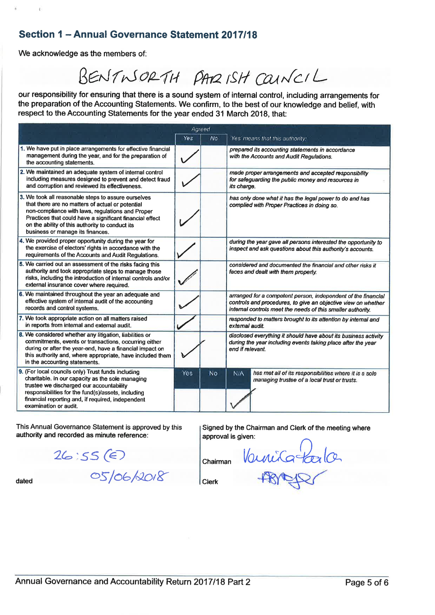#### Section 1 - Annual Governance Statement 2017/18

We acknowledge as the members of:

BENTWORTH PARISH COUNCIL

our responsibility for ensuring that there is a sound system of internal control, including arrangements for the preparation of the Accounting Statements. We confirm, to the best of our knowledge and belief, with respect to the Accounting Statements for the year ended 31 March 2018, that:

| Agreed                                                                                                                                                                                                                                                                                                         |      |           |                                                                                                                                                                                               |  |  |
|----------------------------------------------------------------------------------------------------------------------------------------------------------------------------------------------------------------------------------------------------------------------------------------------------------------|------|-----------|-----------------------------------------------------------------------------------------------------------------------------------------------------------------------------------------------|--|--|
|                                                                                                                                                                                                                                                                                                                | Yes. | <b>No</b> | Yes' means that this authority:                                                                                                                                                               |  |  |
| 1. We have put in place arrangements for effective financial<br>management during the year, and for the preparation of<br>the accounting statements.                                                                                                                                                           |      |           | prepared its accounting statements in accordance<br>with the Accounts and Audit Regulations.                                                                                                  |  |  |
| 2. We maintained an adequate system of internal control<br>including measures designed to prevent and detect fraud<br>and corruption and reviewed its effectiveness.                                                                                                                                           |      |           | made proper arrangements and accepted responsibility<br>for safeguarding the public money and resources in<br>its charge.                                                                     |  |  |
| 3. We took all reasonable steps to assure ourselves<br>that there are no matters of actual or potential<br>non-compliance with laws, regulations and Proper<br>Practices that could have a significant financial effect<br>on the ability of this authority to conduct its<br>business or manage its finances. |      |           | has only done what it has the legal power to do and has<br>complied with Proper Practices in doing so.                                                                                        |  |  |
| 4. We provided proper opportunity during the year for<br>the exercise of electors' rights in accordance with the<br>requirements of the Accounts and Audit Regulations.                                                                                                                                        |      |           | during the year gave all persons interested the opportunity to<br>inspect and ask questions about this authority's accounts.                                                                  |  |  |
| 5. We carried out an assessment of the risks facing this<br>authority and took appropriate steps to manage those<br>risks, including the introduction of internal controls and/or<br>external insurance cover where required.                                                                                  |      |           | considered and documented the financial and other risks it<br>faces and dealt with them properly.                                                                                             |  |  |
| 6. We maintained throughout the year an adequate and<br>effective system of internal audit of the accounting<br>records and control systems.                                                                                                                                                                   |      |           | arranged for a competent person, independent of the financial<br>controls and procedures, to give an objective view on whether<br>internal controls meet the needs of this smaller authority. |  |  |
| 7. We took appropriate action on all matters raised<br>in reports from internal and external audit.                                                                                                                                                                                                            |      |           | responded to matters brought to its attention by internal and<br>external audit.                                                                                                              |  |  |
| 8. We considered whether any litigation, liabilities or<br>commitments, events or transactions, occurring either<br>during or after the year-end, have a financial impact on<br>this authority and, where appropriate, have included them<br>in the accounting statements.                                     |      |           | disclosed everything it should have about its business activity<br>during the year including events taking place after the year<br>end if relevant.                                           |  |  |
| 9. (For local councils only) Trust funds including<br>charitable. In our capacity as the sole managing<br>trustee we discharged our accountability<br>responsibilities for the fund(s)/assets, including<br>financial reporting and, if required, independent<br>examination or audit.                         | Yes  | <b>No</b> | N/A<br>has met all of its responsibilities where it is a sole<br>managing trustee of a local trust or trusts.                                                                                 |  |  |

This Annual Governance Statement is approved by this authority and recorded as minute reference:

Signed by the Chairman and Clerk of the meeting where approval is given:

 $26:55(E)$ 05/06/2018

dated

Vanisatala

**Clerk** 

Chairman